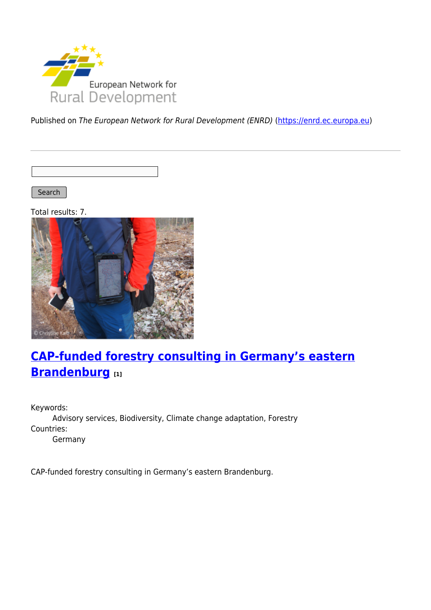

Published on The European Network for Rural Development (ENRD) [\(https://enrd.ec.europa.eu](https://enrd.ec.europa.eu))

Search |

Total results: 7.



## **[CAP-funded forestry consulting in Germany's eastern](https://enrd.ec.europa.eu/projects-practice/cap-funded-forestry-consulting-germanys-eastern-brandenburg_en) [Brandenburg](https://enrd.ec.europa.eu/projects-practice/cap-funded-forestry-consulting-germanys-eastern-brandenburg_en) [1]**

Keywords: Advisory services, Biodiversity, Climate change adaptation, Forestry Countries: Germany

CAP-funded forestry consulting in Germany's eastern Brandenburg.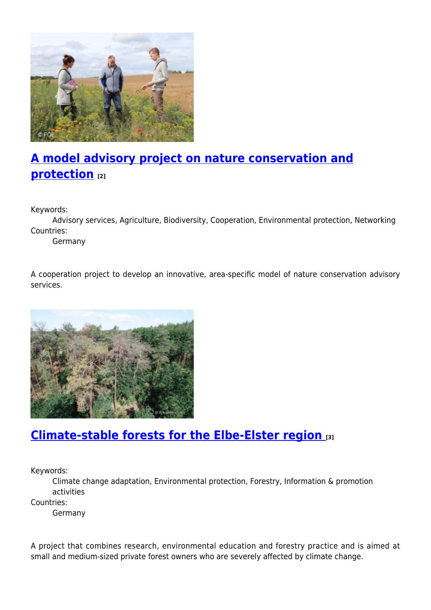

# **[A model advisory project on nature conservation and](https://enrd.ec.europa.eu/projects-practice/model-advisory-project-nature-conservation-and-protection_en) [protection](https://enrd.ec.europa.eu/projects-practice/model-advisory-project-nature-conservation-and-protection_en) [2]**

Keywords:

Advisory services, Agriculture, Biodiversity, Cooperation, Environmental protection, Networking Countries:

Germany

A cooperation project to develop an innovative, area-specific model of nature conservation advisory services.



#### **[Climate-stable forests for the Elbe-Elster region](https://enrd.ec.europa.eu/projects-practice/climate-stable-forests-elbe-elster-region_en) [3]**

Keywords:

Climate change adaptation, Environmental protection, Forestry, Information & promotion activities

Countries:

Germany

A project that combines research, environmental education and forestry practice and is aimed at small and medium-sized private forest owners who are severely affected by climate change.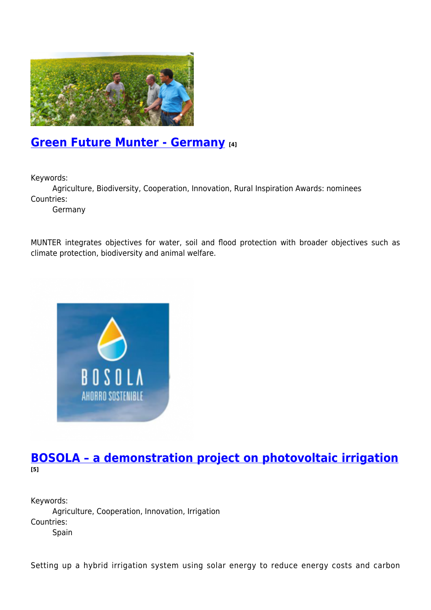

### **[Green Future Munter - Germany](https://enrd.ec.europa.eu/projects-practice/green-future-munter-germany_en) [4]**

Keywords:

Agriculture, Biodiversity, Cooperation, Innovation, Rural Inspiration Awards: nominees Countries:

Germany

MUNTER integrates objectives for water, soil and flood protection with broader objectives such as climate protection, biodiversity and animal welfare.



#### **[BOSOLA – a demonstration project on photovoltaic irrigation](https://enrd.ec.europa.eu/projects-practice/bosola-demonstration-project-photovoltaic-irrigation_en) [5]**

Keywords: Agriculture, Cooperation, Innovation, Irrigation Countries: Spain

Setting up a hybrid irrigation system using solar energy to reduce energy costs and carbon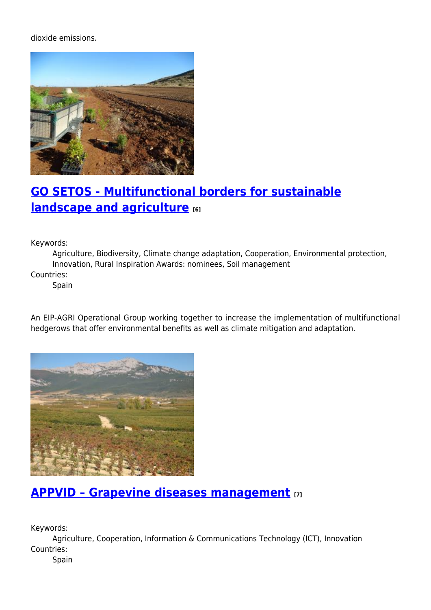dioxide emissions.



### **[GO SETOS - Multifunctional borders for sustainable](https://enrd.ec.europa.eu/projects-practice/go-setos-multifunctional-borders-sustainable-landscape-and-agriculture_en) [landscape and agriculture](https://enrd.ec.europa.eu/projects-practice/go-setos-multifunctional-borders-sustainable-landscape-and-agriculture_en) [6]**

Keywords:

Agriculture, Biodiversity, Climate change adaptation, Cooperation, Environmental protection, Innovation, Rural Inspiration Awards: nominees, Soil management

Countries:

Spain

An EIP-AGRI Operational Group working together to increase the implementation of multifunctional hedgerows that offer environmental benefits as well as climate mitigation and adaptation.



#### **[APPVID – Grapevine diseases management](https://enrd.ec.europa.eu/projects-practice/appvid-grapevine-diseases-management_en) [7]**

Keywords:

Agriculture, Cooperation, Information & Communications Technology (ICT), Innovation Countries:

Spain